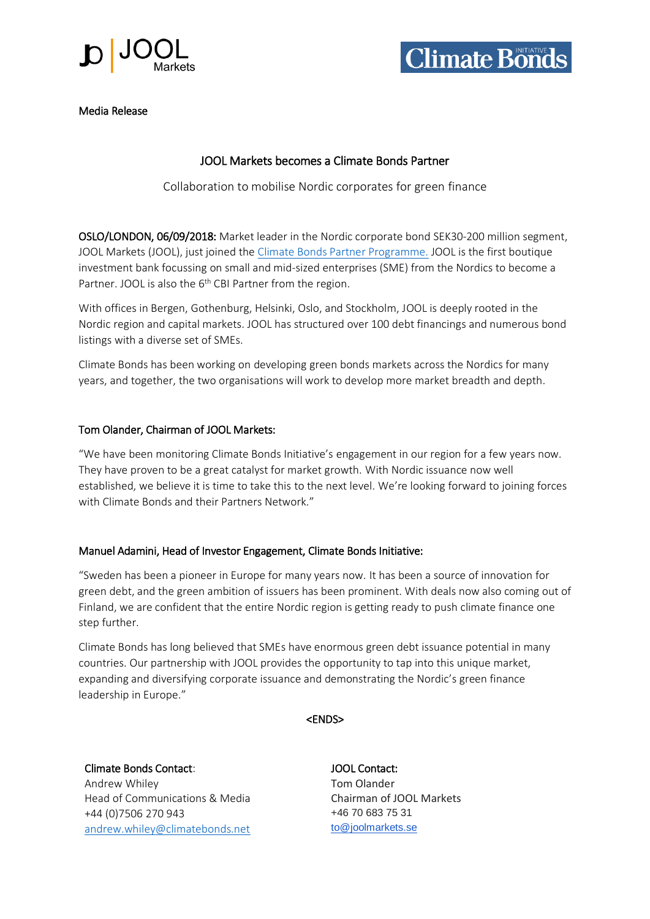



Media Release

## JOOL Markets becomes a Climate Bonds Partner

Collaboration to mobilise Nordic corporates for green finance

OSLO/LONDON, 06/09/2018: Market leader in the Nordic corporate bond SEK30-200 million segment, JOOL Markets (JOOL), just joined the [Climate Bonds Partner Programme.](https://www.climatebonds.net/about-us/partners) JOOL is the first boutique investment bank focussing on small and mid-sized enterprises (SME) from the Nordics to become a Partner. JOOL is also the 6<sup>th</sup> CBI Partner from the region.

With offices in Bergen, Gothenburg, Helsinki, Oslo, and Stockholm, JOOL is deeply rooted in the Nordic region and capital markets. JOOL has structured over 100 debt financings and numerous bond listings with a diverse set of SMEs.

Climate Bonds has been working on developing green bonds markets across the Nordics for many years, and together, the two organisations will work to develop more market breadth and depth.

## Tom Olander, Chairman of JOOL Markets:

"We have been monitoring Climate Bonds Initiative's engagement in our region for a few years now. They have proven to be a great catalyst for market growth. With Nordic issuance now well established, we believe it is time to take this to the next level. We're looking forward to joining forces with Climate Bonds and their Partners Network."

## Manuel Adamini, Head of Investor Engagement, Climate Bonds Initiative:

"Sweden has been a pioneer in Europe for many years now. It has been a source of innovation for green debt, and the green ambition of issuers has been prominent. With deals now also coming out of Finland, we are confident that the entire Nordic region is getting ready to push climate finance one step further.

Climate Bonds has long believed that SMEs have enormous green debt issuance potential in many countries. Our partnership with JOOL provides the opportunity to tap into this unique market, expanding and diversifying corporate issuance and demonstrating the Nordic's green finance leadership in Europe."

<ENDS>

Climate Bonds Contact: JOOL Contact: Andrew Whiley **Tom Olander** Head of Communications & Media Chairman of JOOL Markets +44 (0) 7506 270 943 +46 70 683 75 31 [andrew.whiley@climatebonds.net](http://andrew.whiley@climatebonds.net/) [to@joolmarkets.se](mailto:to@joolmarkets.se)